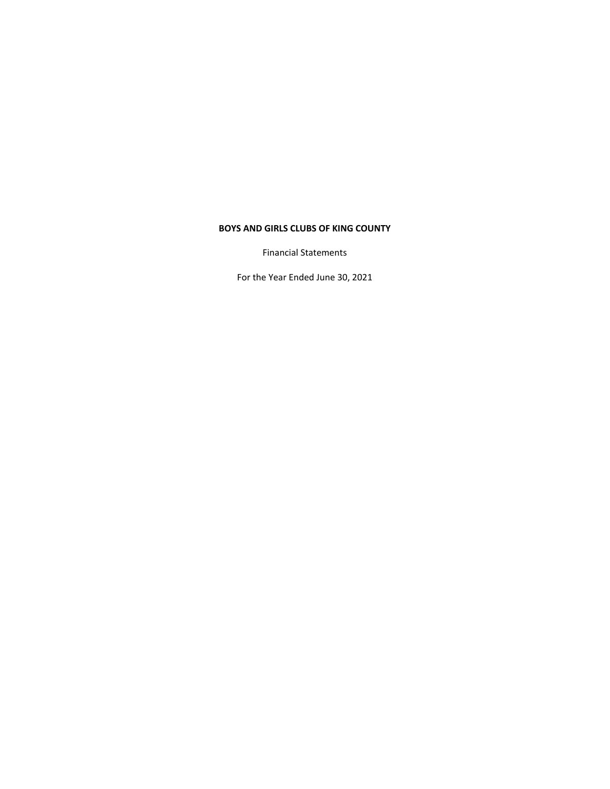Financial Statements

For the Year Ended June 30, 2021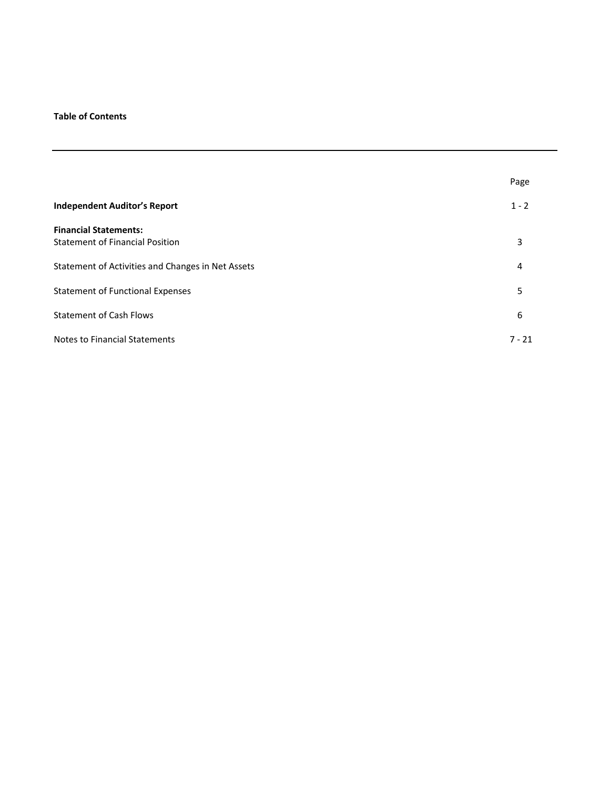# **Table of Contents**

|                                                   | Page     |
|---------------------------------------------------|----------|
| <b>Independent Auditor's Report</b>               | $1 - 2$  |
| <b>Financial Statements:</b>                      |          |
| <b>Statement of Financial Position</b>            | 3        |
| Statement of Activities and Changes in Net Assets | 4        |
| <b>Statement of Functional Expenses</b>           | 5        |
| <b>Statement of Cash Flows</b>                    | 6        |
| <b>Notes to Financial Statements</b>              | $7 - 21$ |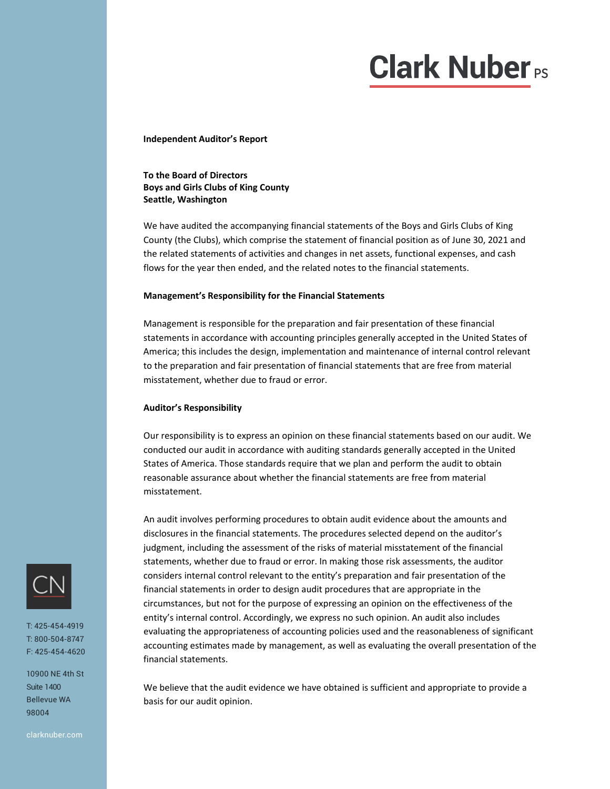# **Clark Nuber**<sub>Ps</sub>

**Independent Auditor's Report**

# **To the Board of Directors Boys and Girls Clubs of King County Seattle, Washington**

We have audited the accompanying financial statements of the Boys and Girls Clubs of King County (the Clubs), which comprise the statement of financial position as of June 30, 2021 and the related statements of activities and changes in net assets, functional expenses, and cash flows for the year then ended, and the related notes to the financial statements.

# **Management's Responsibility for the Financial Statements**

Management is responsible for the preparation and fair presentation of these financial statements in accordance with accounting principles generally accepted in the United States of America; this includes the design, implementation and maintenance of internal control relevant to the preparation and fair presentation of financial statements that are free from material misstatement, whether due to fraud or error.

### **Auditor's Responsibility**

Our responsibility is to express an opinion on these financial statements based on our audit. We conducted our audit in accordance with auditing standards generally accepted in the United States of America. Those standards require that we plan and perform the audit to obtain reasonable assurance about whether the financial statements are free from material misstatement.

An audit involves performing procedures to obtain audit evidence about the amounts and disclosures in the financial statements. The procedures selected depend on the auditor's judgment, including the assessment of the risks of material misstatement of the financial statements, whether due to fraud or error. In making those risk assessments, the auditor considers internal control relevant to the entity's preparation and fair presentation of the financial statements in order to design audit procedures that are appropriate in the circumstances, but not for the purpose of expressing an opinion on the effectiveness of the entity's internal control. Accordingly, we express no such opinion. An audit also includes evaluating the appropriateness of accounting policies used and the reasonableness of significant accounting estimates made by management, as well as evaluating the overall presentation of the financial statements.

We believe that the audit evidence we have obtained is sufficient and appropriate to provide a basis for our audit opinion.



T: 425-454-4919 T: 800-504-8747 F: 425-454-4620

10900 NE 4th St Suite 1400 Bellevue WA 98004

clarknuber.com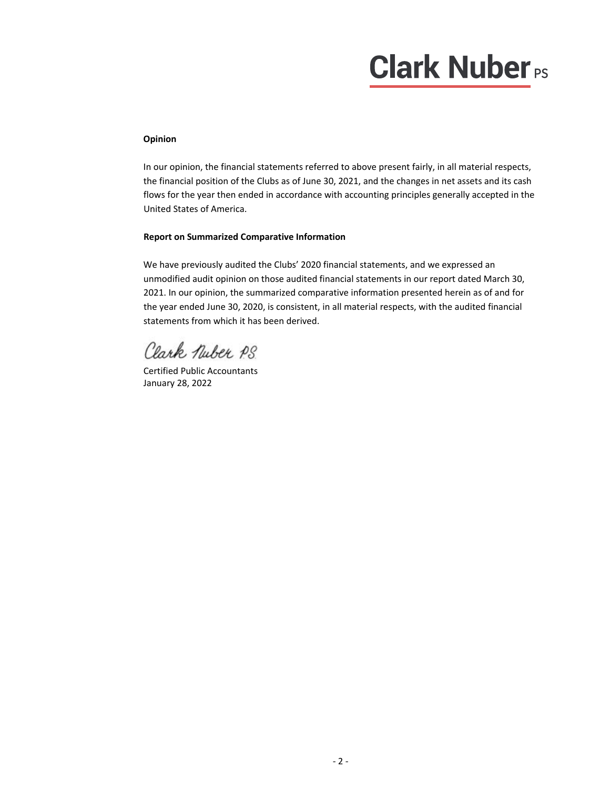# **Clark Nuber**<sub>PS</sub>

# **Opinion**

In our opinion, the financial statements referred to above present fairly, in all material respects, the financial position of the Clubs as of June 30, 2021, and the changes in net assets and its cash flows for the year then ended in accordance with accounting principles generally accepted in the United States of America.

# **Report on Summarized Comparative Information**

We have previously audited the Clubs' 2020 financial statements, and we expressed an unmodified audit opinion on those audited financial statements in our report dated March 30, 2021. In our opinion, the summarized comparative information presented herein as of and for the year ended June 30, 2020, is consistent, in all material respects, with the audited financial statements from which it has been derived.

Clark Nuber PS

Certified Public Accountants January 28, 2022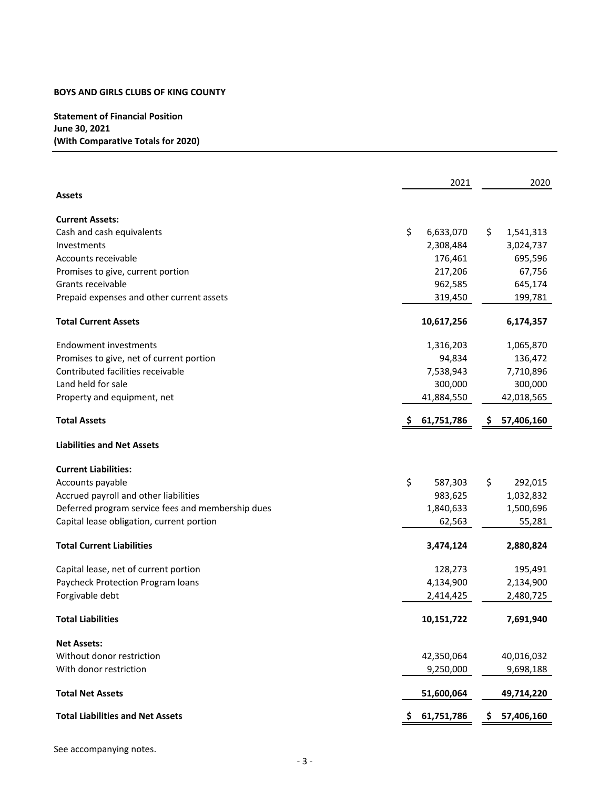# **Statement of Financial Position June 30, 2021 (With Comparative Totals for 2020)**

|                                                   |    | 2021       |     | 2020       |
|---------------------------------------------------|----|------------|-----|------------|
| <b>Assets</b>                                     |    |            |     |            |
| <b>Current Assets:</b>                            |    |            |     |            |
| Cash and cash equivalents                         | \$ | 6,633,070  | \$. | 1,541,313  |
| Investments                                       |    | 2,308,484  |     | 3,024,737  |
| Accounts receivable                               |    | 176,461    |     | 695,596    |
| Promises to give, current portion                 |    | 217,206    |     | 67,756     |
| Grants receivable                                 |    | 962,585    |     | 645,174    |
| Prepaid expenses and other current assets         |    | 319,450    |     | 199,781    |
| <b>Total Current Assets</b>                       |    | 10,617,256 |     | 6,174,357  |
| Endowment investments                             |    | 1,316,203  |     | 1,065,870  |
| Promises to give, net of current portion          |    | 94,834     |     | 136,472    |
| Contributed facilities receivable                 |    | 7,538,943  |     | 7,710,896  |
| Land held for sale                                |    | 300,000    |     | 300,000    |
| Property and equipment, net                       |    | 41,884,550 |     | 42,018,565 |
| <b>Total Assets</b>                               |    | 61,751,786 | \$. | 57,406,160 |
| <b>Liabilities and Net Assets</b>                 |    |            |     |            |
| <b>Current Liabilities:</b>                       |    |            |     |            |
| Accounts payable                                  | \$ | 587,303    | \$  | 292,015    |
| Accrued payroll and other liabilities             |    | 983,625    |     | 1,032,832  |
| Deferred program service fees and membership dues |    | 1,840,633  |     | 1,500,696  |
| Capital lease obligation, current portion         |    | 62,563     |     | 55,281     |
| <b>Total Current Liabilities</b>                  |    | 3,474,124  |     | 2,880,824  |
| Capital lease, net of current portion             |    | 128,273    |     | 195,491    |
| Paycheck Protection Program loans                 |    | 4,134,900  |     | 2,134,900  |
| Forgivable debt                                   |    | 2,414,425  |     | 2,480,725  |
| <b>Total Liabilities</b>                          |    | 10,151,722 |     | 7,691,940  |
| <b>Net Assets:</b>                                |    |            |     |            |
| Without donor restriction                         |    | 42,350,064 |     | 40,016,032 |
| With donor restriction                            |    | 9,250,000  |     | 9,698,188  |
| <b>Total Net Assets</b>                           |    | 51,600,064 |     | 49,714,220 |
| <b>Total Liabilities and Net Assets</b>           | Ş  | 61,751,786 | S   | 57,406,160 |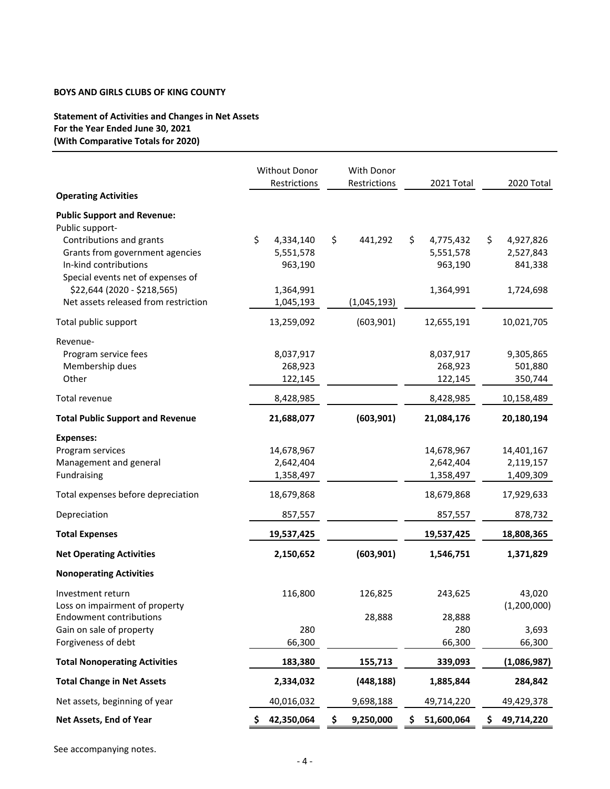# **Statement of Activities and Changes in Net Assets For the Year Ended June 30, 2021 (With Comparative Totals for 2020)**

|                                                                                                                                              | Without Donor                           | With Donor    |                                         |                                         |
|----------------------------------------------------------------------------------------------------------------------------------------------|-----------------------------------------|---------------|-----------------------------------------|-----------------------------------------|
| <b>Operating Activities</b>                                                                                                                  | Restrictions                            | Restrictions  | 2021 Total                              | 2020 Total                              |
| <b>Public Support and Revenue:</b>                                                                                                           |                                         |               |                                         |                                         |
| Public support-<br>Contributions and grants<br>Grants from government agencies<br>In-kind contributions<br>Special events net of expenses of | \$<br>4,334,140<br>5,551,578<br>963,190 | \$<br>441,292 | \$<br>4,775,432<br>5,551,578<br>963,190 | \$<br>4,927,826<br>2,527,843<br>841,338 |
| \$22,644 (2020 - \$218,565)<br>Net assets released from restriction                                                                          | 1,364,991<br>1,045,193                  | (1,045,193)   | 1,364,991                               | 1,724,698                               |
| Total public support                                                                                                                         | 13,259,092                              | (603,901)     | 12,655,191                              | 10,021,705                              |
| Revenue-<br>Program service fees<br>Membership dues<br>Other                                                                                 | 8,037,917<br>268,923<br>122,145         |               | 8,037,917<br>268,923<br>122,145         | 9,305,865<br>501,880<br>350,744         |
| Total revenue                                                                                                                                | 8,428,985                               |               | 8,428,985                               | 10,158,489                              |
| <b>Total Public Support and Revenue</b>                                                                                                      | 21,688,077                              | (603, 901)    | 21,084,176                              | 20,180,194                              |
| <b>Expenses:</b><br>Program services<br>Management and general<br>Fundraising                                                                | 14,678,967<br>2,642,404<br>1,358,497    |               | 14,678,967<br>2,642,404<br>1,358,497    | 14,401,167<br>2,119,157<br>1,409,309    |
| Total expenses before depreciation                                                                                                           | 18,679,868                              |               | 18,679,868                              | 17,929,633                              |
| Depreciation                                                                                                                                 | 857,557                                 |               | 857,557                                 | 878,732                                 |
| <b>Total Expenses</b>                                                                                                                        | 19,537,425                              |               | 19,537,425                              | 18,808,365                              |
| <b>Net Operating Activities</b>                                                                                                              | 2,150,652                               | (603, 901)    | 1,546,751                               | 1,371,829                               |
| <b>Nonoperating Activities</b>                                                                                                               |                                         |               |                                         |                                         |
| Investment return<br>Loss on impairment of property                                                                                          | 116,800                                 | 126,825       | 243,625                                 | 43,020<br>(1,200,000)                   |
| <b>Endowment contributions</b><br>Gain on sale of property                                                                                   | 280                                     | 28,888        | 28,888<br>280                           | 3,693                                   |
| Forgiveness of debt                                                                                                                          | 66,300                                  |               | 66,300                                  | 66,300                                  |
| <b>Total Nonoperating Activities</b>                                                                                                         | 183,380                                 | 155,713       | 339,093                                 | (1,086,987)                             |
| <b>Total Change in Net Assets</b>                                                                                                            | 2,334,032                               | (448, 188)    | 1,885,844                               | 284,842                                 |
| Net assets, beginning of year                                                                                                                | 40,016,032                              | 9,698,188     | 49,714,220                              | 49,429,378                              |
| Net Assets, End of Year                                                                                                                      | 42,350,064                              | 9,250,000     | 51,600,064                              | 49,714,220                              |

See accompanying notes.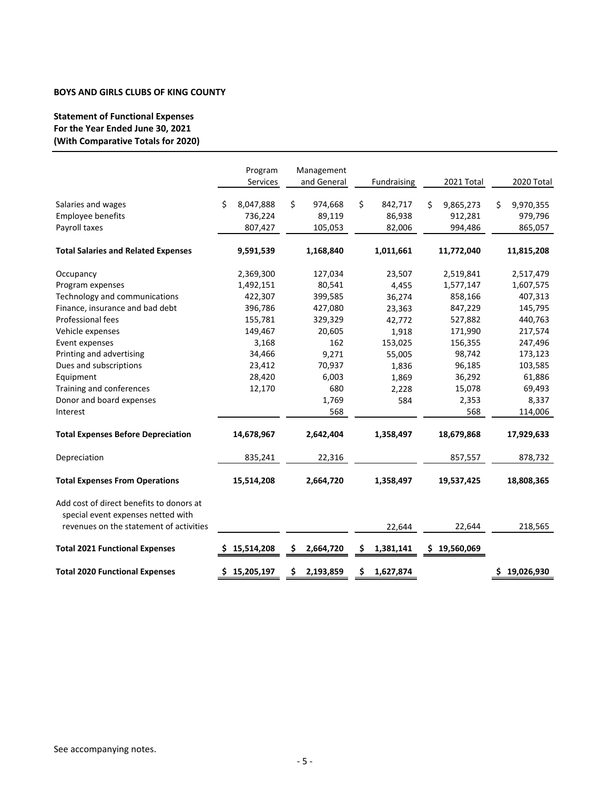# **Statement of Functional Expenses For the Year Ended June 30, 2021 (With Comparative Totals for 2020)**

|                                                                                |   | Program<br>Services |    | Management<br>and General |    | Fundraising | 2021 Total      | 2020 Total      |
|--------------------------------------------------------------------------------|---|---------------------|----|---------------------------|----|-------------|-----------------|-----------------|
| Salaries and wages                                                             | Ś | 8,047,888           | Ś. | 974,668                   | \$ | 842,717     | \$<br>9,865,273 | \$<br>9,970,355 |
| Employee benefits                                                              |   | 736,224             |    | 89,119                    |    | 86,938      | 912,281         | 979,796         |
| Payroll taxes                                                                  |   | 807,427             |    | 105,053                   |    | 82,006      | 994,486         | 865,057         |
| <b>Total Salaries and Related Expenses</b>                                     |   | 9,591,539           |    | 1,168,840                 |    | 1,011,661   | 11,772,040      | 11,815,208      |
| Occupancy                                                                      |   | 2,369,300           |    | 127,034                   |    | 23,507      | 2,519,841       | 2,517,479       |
| Program expenses                                                               |   | 1,492,151           |    | 80,541                    |    | 4,455       | 1,577,147       | 1,607,575       |
| Technology and communications                                                  |   | 422,307             |    | 399,585                   |    | 36,274      | 858,166         | 407,313         |
| Finance, insurance and bad debt                                                |   | 396,786             |    | 427,080                   |    | 23,363      | 847,229         | 145,795         |
| Professional fees                                                              |   | 155,781             |    | 329,329                   |    | 42,772      | 527,882         | 440,763         |
| Vehicle expenses                                                               |   | 149,467             |    | 20,605                    |    | 1,918       | 171,990         | 217,574         |
| Event expenses                                                                 |   | 3,168               |    | 162                       |    | 153,025     | 156,355         | 247,496         |
| Printing and advertising                                                       |   | 34,466              |    | 9,271                     |    | 55,005      | 98,742          | 173,123         |
| Dues and subscriptions                                                         |   | 23,412              |    | 70,937                    |    | 1,836       | 96,185          | 103,585         |
| Equipment                                                                      |   | 28,420              |    | 6,003                     |    | 1,869       | 36,292          | 61,886          |
| Training and conferences                                                       |   | 12,170              |    | 680                       |    | 2,228       | 15,078          | 69,493          |
| Donor and board expenses                                                       |   |                     |    | 1,769                     |    | 584         | 2,353           | 8,337           |
| Interest                                                                       |   |                     |    | 568                       |    |             | 568             | 114,006         |
| <b>Total Expenses Before Depreciation</b>                                      |   | 14,678,967          |    | 2,642,404                 |    | 1,358,497   | 18,679,868      | 17,929,633      |
| Depreciation                                                                   |   | 835,241             |    | 22,316                    |    |             | 857,557         | 878,732         |
| <b>Total Expenses From Operations</b>                                          |   | 15,514,208          |    | 2,664,720                 |    | 1,358,497   | 19,537,425      | 18,808,365      |
| Add cost of direct benefits to donors at<br>special event expenses netted with |   |                     |    |                           |    |             |                 |                 |
| revenues on the statement of activities                                        |   |                     |    |                           |    | 22,644      | 22,644          | 218,565         |
| <b>Total 2021 Functional Expenses</b>                                          |   | \$15,514,208        | S  | 2,664,720                 | S  | 1,381,141   | \$19,560,069    |                 |
| <b>Total 2020 Functional Expenses</b>                                          |   | \$15,205,197        | \$ | 2,193,859                 | \$ | 1,627,874   |                 | \$19,026,930    |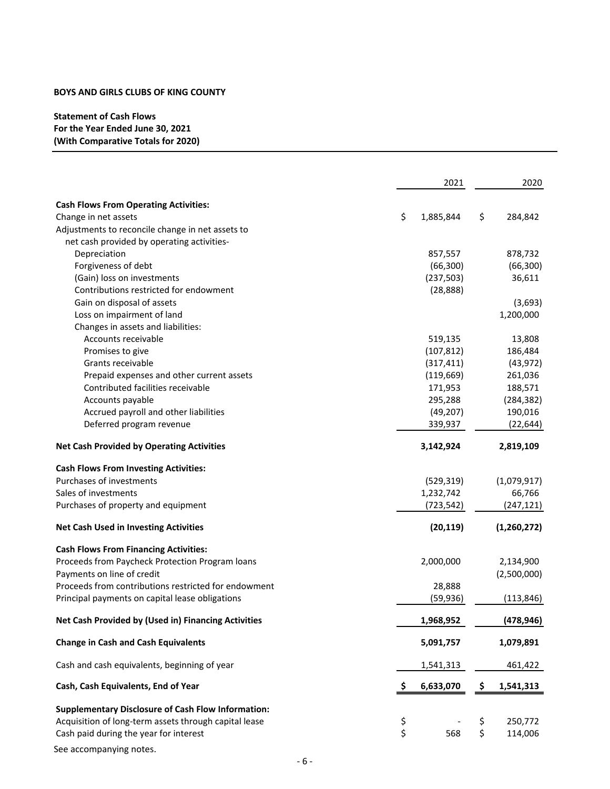# **Statement of Cash Flows For the Year Ended June 30, 2021 (With Comparative Totals for 2020)**

|                                                           | 2021     |            | 2020 |             |
|-----------------------------------------------------------|----------|------------|------|-------------|
| <b>Cash Flows From Operating Activities:</b>              |          |            |      |             |
| Change in net assets                                      | \$       | 1,885,844  | \$   | 284,842     |
| Adjustments to reconcile change in net assets to          |          |            |      |             |
| net cash provided by operating activities-                |          |            |      |             |
| Depreciation                                              |          | 857,557    |      | 878,732     |
| Forgiveness of debt                                       |          | (66, 300)  |      | (66, 300)   |
| (Gain) loss on investments                                |          | (237, 503) |      | 36,611      |
| Contributions restricted for endowment                    |          | (28, 888)  |      |             |
| Gain on disposal of assets                                |          |            |      | (3,693)     |
| Loss on impairment of land                                |          |            |      | 1,200,000   |
| Changes in assets and liabilities:                        |          |            |      |             |
| Accounts receivable                                       |          | 519,135    |      | 13,808      |
| Promises to give                                          |          | (107, 812) |      | 186,484     |
| Grants receivable                                         |          | (317, 411) |      | (43, 972)   |
| Prepaid expenses and other current assets                 |          | (119, 669) |      | 261,036     |
| Contributed facilities receivable                         |          |            |      |             |
|                                                           |          | 171,953    |      | 188,571     |
| Accounts payable                                          |          | 295,288    |      | (284, 382)  |
| Accrued payroll and other liabilities                     |          | (49, 207)  |      | 190,016     |
| Deferred program revenue                                  |          | 339,937    |      | (22, 644)   |
| <b>Net Cash Provided by Operating Activities</b>          |          | 3,142,924  |      | 2,819,109   |
| <b>Cash Flows From Investing Activities:</b>              |          |            |      |             |
| Purchases of investments                                  |          | (529, 319) |      | (1,079,917) |
| Sales of investments                                      |          | 1,232,742  |      | 66,766      |
| Purchases of property and equipment                       |          | (723, 542) |      | (247, 121)  |
|                                                           |          |            |      |             |
| <b>Net Cash Used in Investing Activities</b>              |          | (20, 119)  |      | (1,260,272) |
| <b>Cash Flows From Financing Activities:</b>              |          |            |      |             |
| Proceeds from Paycheck Protection Program loans           |          | 2,000,000  |      | 2,134,900   |
| Payments on line of credit                                |          |            |      | (2,500,000) |
| Proceeds from contributions restricted for endowment      |          | 28,888     |      |             |
| Principal payments on capital lease obligations           |          | (59, 936)  |      | (113, 846)  |
|                                                           |          |            |      |             |
| Net Cash Provided by (Used in) Financing Activities       |          | 1,968,952  |      | (478, 946)  |
| <b>Change in Cash and Cash Equivalents</b>                |          | 5,091,757  |      | 1,079,891   |
| Cash and cash equivalents, beginning of year              |          | 1,541,313  |      | 461,422     |
| Cash, Cash Equivalents, End of Year                       | S        | 6,633,070  | Ş.   | 1,541,313   |
| <b>Supplementary Disclosure of Cash Flow Information:</b> |          |            |      |             |
| Acquisition of long-term assets through capital lease     |          |            | \$   | 250,772     |
| Cash paid during the year for interest                    | \$<br>\$ | 568        | \$   | 114,006     |

See accompanying notes.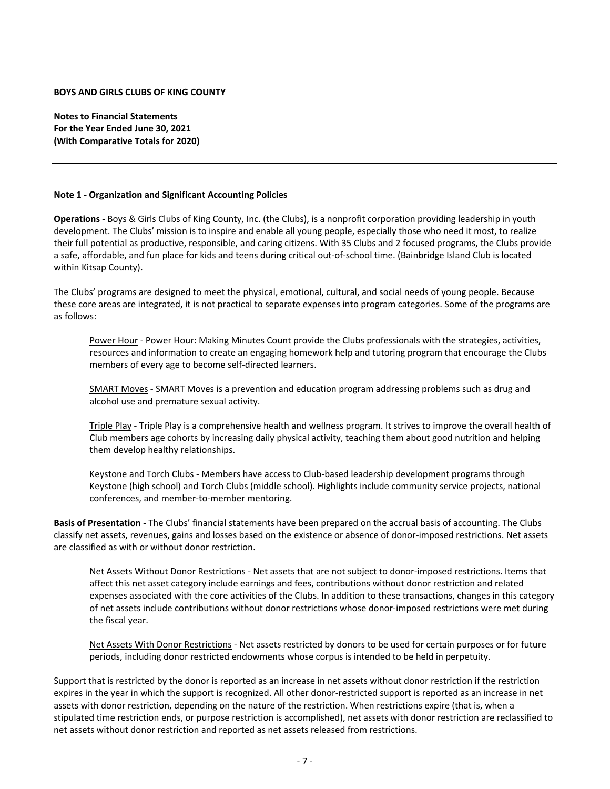**Notes to Financial Statements For the Year Ended June 30, 2021 (With Comparative Totals for 2020)**

#### **Note 1 ‐ Organization and Significant Accounting Policies**

**Operations ‐** Boys & Girls Clubs of King County, Inc. (the Clubs), is a nonprofit corporation providing leadership in youth development. The Clubs' mission is to inspire and enable all young people, especially those who need it most, to realize their full potential as productive, responsible, and caring citizens. With 35 Clubs and 2 focused programs, the Clubs provide a safe, affordable, and fun place for kids and teens during critical out‐of‐school time. (Bainbridge Island Club is located within Kitsap County).

The Clubs' programs are designed to meet the physical, emotional, cultural, and social needs of young people. Because these core areas are integrated, it is not practical to separate expenses into program categories. Some of the programs are as follows:

Power Hour - Power Hour: Making Minutes Count provide the Clubs professionals with the strategies, activities, resources and information to create an engaging homework help and tutoring program that encourage the Clubs members of every age to become self‐directed learners.

SMART Moves - SMART Moves is a prevention and education program addressing problems such as drug and alcohol use and premature sexual activity.

Triple Play ‐ Triple Play is a comprehensive health and wellness program. It strives to improve the overall health of Club members age cohorts by increasing daily physical activity, teaching them about good nutrition and helping them develop healthy relationships.

Keystone and Torch Clubs - Members have access to Club-based leadership development programs through Keystone (high school) and Torch Clubs (middle school). Highlights include community service projects, national conferences, and member‐to‐member mentoring.

**Basis of Presentation ‐** The Clubs' financial statements have been prepared on the accrual basis of accounting. The Clubs classify net assets, revenues, gains and losses based on the existence or absence of donor‐imposed restrictions. Net assets are classified as with or without donor restriction.

Net Assets Without Donor Restrictions - Net assets that are not subject to donor-imposed restrictions. Items that affect this net asset category include earnings and fees, contributions without donor restriction and related expenses associated with the core activities of the Clubs. In addition to these transactions, changes in this category of net assets include contributions without donor restrictions whose donor-imposed restrictions were met during the fiscal year.

Net Assets With Donor Restrictions ‐ Net assets restricted by donors to be used for certain purposes or for future periods, including donor restricted endowments whose corpus is intended to be held in perpetuity.

Support that is restricted by the donor is reported as an increase in net assets without donor restriction if the restriction expires in the year in which the support is recognized. All other donor‐restricted support is reported as an increase in net assets with donor restriction, depending on the nature of the restriction. When restrictions expire (that is, when a stipulated time restriction ends, or purpose restriction is accomplished), net assets with donor restriction are reclassified to net assets without donor restriction and reported as net assets released from restrictions.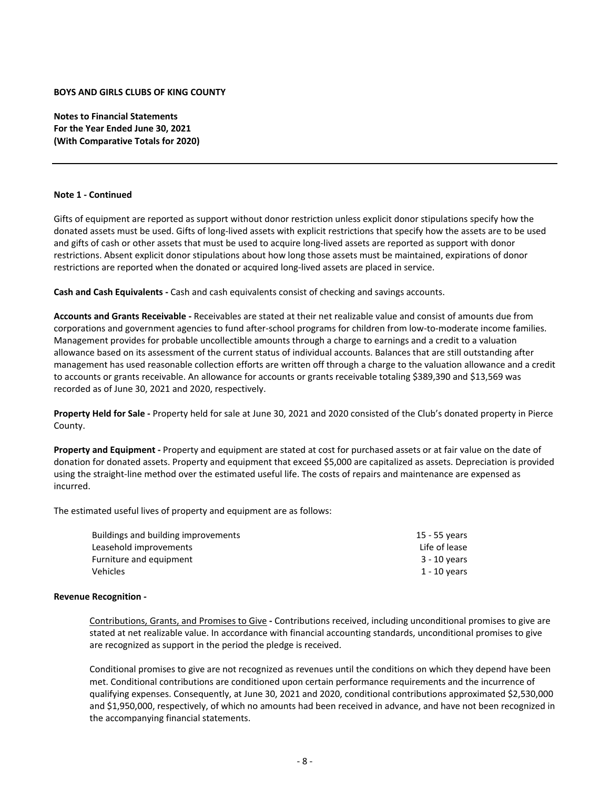**Notes to Financial Statements For the Year Ended June 30, 2021 (With Comparative Totals for 2020)**

#### **Note 1 ‐ Continued**

Gifts of equipment are reported as support without donor restriction unless explicit donor stipulations specify how the donated assets must be used. Gifts of long‐lived assets with explicit restrictions that specify how the assets are to be used and gifts of cash or other assets that must be used to acquire long-lived assets are reported as support with donor restrictions. Absent explicit donor stipulations about how long those assets must be maintained, expirations of donor restrictions are reported when the donated or acquired long‐lived assets are placed in service.

**Cash and Cash Equivalents ‐** Cash and cash equivalents consist of checking and savings accounts.

**Accounts and Grants Receivable ‐** Receivables are stated at their net realizable value and consist of amounts due from corporations and government agencies to fund after-school programs for children from low-to-moderate income families. Management provides for probable uncollectible amounts through a charge to earnings and a credit to a valuation allowance based on its assessment of the current status of individual accounts. Balances that are still outstanding after management has used reasonable collection efforts are written off through a charge to the valuation allowance and a credit to accounts or grants receivable. An allowance for accounts or grants receivable totaling \$389,390 and \$13,569 was recorded as of June 30, 2021 and 2020, respectively.

**Property Held for Sale ‐** Property held for sale at June 30, 2021 and 2020 consisted of the Club's donated property in Pierce County.

**Property and Equipment ‐** Property and equipment are stated at cost for purchased assets or at fair value on the date of donation for donated assets. Property and equipment that exceed \$5,000 are capitalized as assets. Depreciation is provided using the straight‐line method over the estimated useful life. The costs of repairs and maintenance are expensed as incurred.

The estimated useful lives of property and equipment are as follows:

| Buildings and building improvements | 15 - 55 years |
|-------------------------------------|---------------|
| Leasehold improvements              | Life of lease |
| Furniture and equipment             | 3 - 10 years  |
| Vehicles                            | 1 - 10 years  |

#### **Revenue Recognition ‐**

Contributions, Grants, and Promises to Give **‐** Contributions received, including unconditional promises to give are stated at net realizable value. In accordance with financial accounting standards, unconditional promises to give are recognized as support in the period the pledge is received.

Conditional promises to give are not recognized as revenues until the conditions on which they depend have been met. Conditional contributions are conditioned upon certain performance requirements and the incurrence of qualifying expenses. Consequently, at June 30, 2021 and 2020, conditional contributions approximated \$2,530,000 and \$1,950,000, respectively, of which no amounts had been received in advance, and have not been recognized in the accompanying financial statements.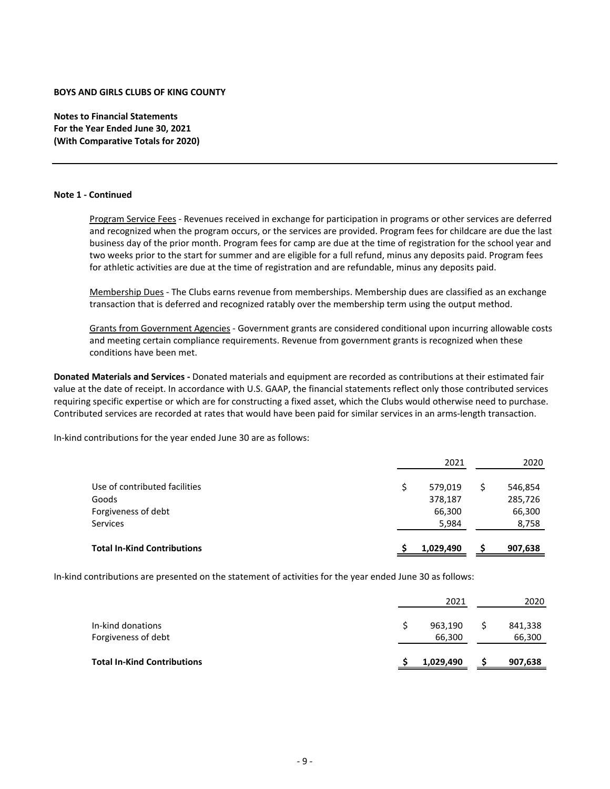**Notes to Financial Statements For the Year Ended June 30, 2021 (With Comparative Totals for 2020)**

#### **Note 1 ‐ Continued**

Program Service Fees ‐ Revenues received in exchange for participation in programs or other services are deferred and recognized when the program occurs, or the services are provided. Program fees for childcare are due the last business day of the prior month. Program fees for camp are due at the time of registration for the school year and two weeks prior to the start for summer and are eligible for a full refund, minus any deposits paid. Program fees for athletic activities are due at the time of registration and are refundable, minus any deposits paid.

Membership Dues ‐ The Clubs earns revenue from memberships. Membership dues are classified as an exchange transaction that is deferred and recognized ratably over the membership term using the output method.

Grants from Government Agencies - Government grants are considered conditional upon incurring allowable costs and meeting certain compliance requirements. Revenue from government grants is recognized when these conditions have been met.

**Donated Materials and Services ‐** Donated materials and equipment are recorded as contributions at their estimated fair value at the date of receipt. In accordance with U.S. GAAP, the financial statements reflect only those contributed services requiring specific expertise or which are for constructing a fixed asset, which the Clubs would otherwise need to purchase. Contributed services are recorded at rates that would have been paid for similar services in an arms‐length transaction.

In‐kind contributions for the year ended June 30 are as follows:

|                                    | 2021      | 2020    |
|------------------------------------|-----------|---------|
| Use of contributed facilities      | 579,019   | 546,854 |
| Goods                              | 378,187   | 285,726 |
| Forgiveness of debt                | 66,300    | 66,300  |
| Services                           | 5,984     | 8,758   |
| <b>Total In-Kind Contributions</b> |           |         |
|                                    | 1,029,490 | 907,638 |

In‐kind contributions are presented on the statement of activities for the year ended June 30 as follows:

| <b>Total In-Kind Contributions</b>       | 1,029,490         | 907,638           |
|------------------------------------------|-------------------|-------------------|
| In-kind donations<br>Forgiveness of debt | 963,190<br>66,300 | 841,338<br>66,300 |
|                                          | 2021              | 2020              |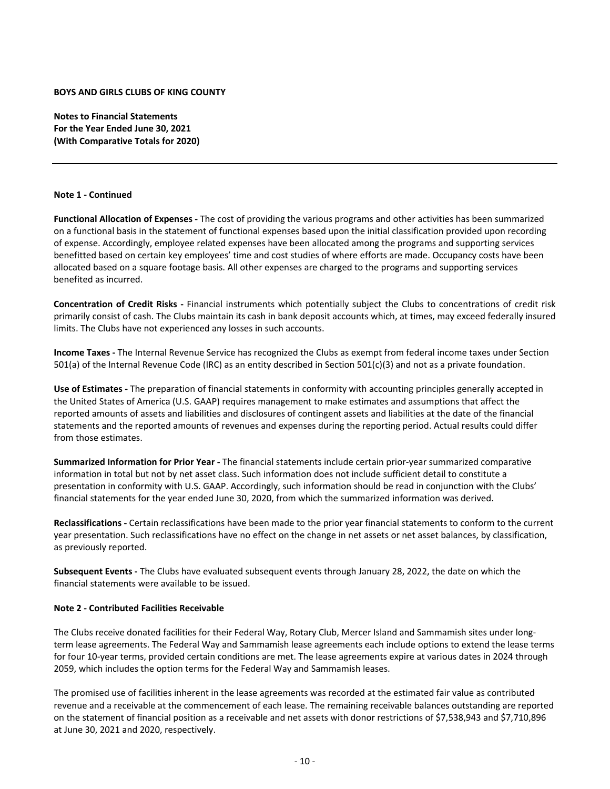**Notes to Financial Statements For the Year Ended June 30, 2021 (With Comparative Totals for 2020)**

#### **Note 1 ‐ Continued**

**Functional Allocation of Expenses ‐** The cost of providing the various programs and other activities has been summarized on a functional basis in the statement of functional expenses based upon the initial classification provided upon recording of expense. Accordingly, employee related expenses have been allocated among the programs and supporting services benefitted based on certain key employees' time and cost studies of where efforts are made. Occupancy costs have been allocated based on a square footage basis. All other expenses are charged to the programs and supporting services benefited as incurred.

**Concentration of Credit Risks ‐** Financial instruments which potentially subject the Clubs to concentrations of credit risk primarily consist of cash. The Clubs maintain its cash in bank deposit accounts which, at times, may exceed federally insured limits. The Clubs have not experienced any losses in such accounts.

**Income Taxes ‐** The Internal Revenue Service has recognized the Clubs as exempt from federal income taxes under Section 501(a) of the Internal Revenue Code (IRC) as an entity described in Section 501(c)(3) and not as a private foundation.

**Use of Estimates ‐** The preparation of financial statements in conformity with accounting principles generally accepted in the United States of America (U.S. GAAP) requires management to make estimates and assumptions that affect the reported amounts of assets and liabilities and disclosures of contingent assets and liabilities at the date of the financial statements and the reported amounts of revenues and expenses during the reporting period. Actual results could differ from those estimates.

**Summarized Information for Prior Year ‐** The financial statements include certain prior‐year summarized comparative information in total but not by net asset class. Such information does not include sufficient detail to constitute a presentation in conformity with U.S. GAAP. Accordingly, such information should be read in conjunction with the Clubs' financial statements for the year ended June 30, 2020, from which the summarized information was derived.

**Reclassifications ‐** Certain reclassifications have been made to the prior year financial statements to conform to the current year presentation. Such reclassifications have no effect on the change in net assets or net asset balances, by classification, as previously reported.

**Subsequent Events ‐** The Clubs have evaluated subsequent events through January 28, 2022, the date on which the financial statements were available to be issued.

# **Note 2 ‐ Contributed Facilities Receivable**

The Clubs receive donated facilities for their Federal Way, Rotary Club, Mercer Island and Sammamish sites under long‐ term lease agreements. The Federal Way and Sammamish lease agreements each include options to extend the lease terms for four 10‐year terms, provided certain conditions are met. The lease agreements expire at various dates in 2024 through 2059, which includes the option terms for the Federal Way and Sammamish leases.

The promised use of facilities inherent in the lease agreements was recorded at the estimated fair value as contributed revenue and a receivable at the commencement of each lease. The remaining receivable balances outstanding are reported on the statement of financial position as a receivable and net assets with donor restrictions of \$7,538,943 and \$7,710,896 at June 30, 2021 and 2020, respectively.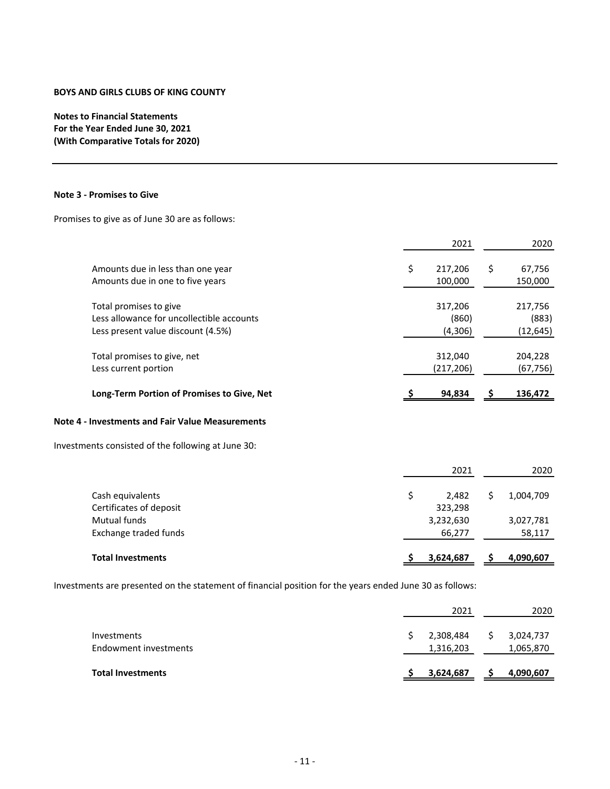**Notes to Financial Statements For the Year Ended June 30, 2021 (With Comparative Totals for 2020)**

#### **Note 3 ‐ Promises to Give**

Promises to give as of June 30 are as follows:

|                                                                                                           | 2021                        |     | 2020                          |
|-----------------------------------------------------------------------------------------------------------|-----------------------------|-----|-------------------------------|
| Amounts due in less than one year<br>Amounts due in one to five years                                     | \$<br>217,206<br>100,000    | \$. | 67,756<br>150,000             |
| Total promises to give<br>Less allowance for uncollectible accounts<br>Less present value discount (4.5%) | 317,206<br>(860)<br>(4,306) |     | 217,756<br>(883)<br>(12, 645) |
| Total promises to give, net<br>Less current portion                                                       | 312,040<br>(217, 206)       |     | 204,228<br>(67, 756)          |
| Long-Term Portion of Promises to Give, Net                                                                | 94,834                      |     | 136,472                       |
| Note 4 - Investments and Fair Value Measurements                                                          |                             |     |                               |
| Investments consisted of the following at June 30:                                                        |                             |     |                               |
|                                                                                                           | 2021                        |     | 2020                          |

| <b>Total Investments</b> | 3,624,687 | 4,090,607 |
|--------------------------|-----------|-----------|
| Exchange traded funds    | 66,277    | 58,117    |
| Mutual funds             | 3,232,630 | 3,027,781 |
| Certificates of deposit  | 323.298   |           |
| Cash equivalents         | 2.482     | 1.004.709 |

Investments are presented on the statement of financial position for the years ended June 30 as follows:

|                                      | 2021                   |   | 2020                   |
|--------------------------------------|------------------------|---|------------------------|
| Investments<br>Endowment investments | 2,308,484<br>1,316,203 | S | 3,024,737<br>1,065,870 |
| <b>Total Investments</b>             | 3,624,687              |   | 4,090,607              |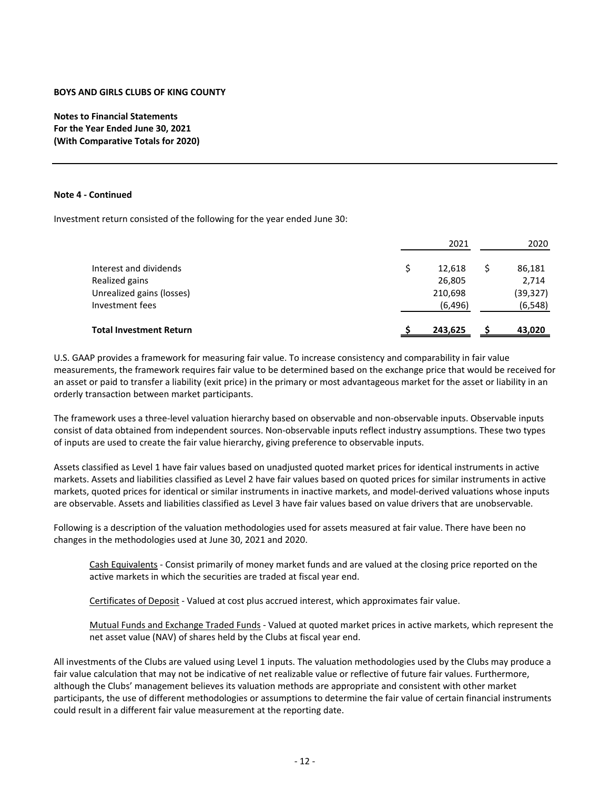**Notes to Financial Statements For the Year Ended June 30, 2021 (With Comparative Totals for 2020)**

#### **Note 4 ‐ Continued**

Investment return consisted of the following for the year ended June 30:

|                                | 2021     | 2020      |
|--------------------------------|----------|-----------|
| Interest and dividends         | 12,618   | 86,181    |
| Realized gains                 | 26,805   | 2,714     |
| Unrealized gains (losses)      | 210,698  | (39, 327) |
| Investment fees                | (6, 496) | (6, 548)  |
| <b>Total Investment Return</b> | 243,625  | 43,020    |

U.S. GAAP provides a framework for measuring fair value. To increase consistency and comparability in fair value measurements, the framework requires fair value to be determined based on the exchange price that would be received for an asset or paid to transfer a liability (exit price) in the primary or most advantageous market for the asset or liability in an orderly transaction between market participants.

The framework uses a three‐level valuation hierarchy based on observable and non‐observable inputs. Observable inputs consist of data obtained from independent sources. Non‐observable inputs reflect industry assumptions. These two types of inputs are used to create the fair value hierarchy, giving preference to observable inputs.

Assets classified as Level 1 have fair values based on unadjusted quoted market prices for identical instruments in active markets. Assets and liabilities classified as Level 2 have fair values based on quoted prices for similar instruments in active markets, quoted prices for identical or similar instruments in inactive markets, and model‐derived valuations whose inputs are observable. Assets and liabilities classified as Level 3 have fair values based on value drivers that are unobservable.

Following is a description of the valuation methodologies used for assets measured at fair value. There have been no changes in the methodologies used at June 30, 2021 and 2020.

Cash Equivalents - Consist primarily of money market funds and are valued at the closing price reported on the active markets in which the securities are traded at fiscal year end.

Certificates of Deposit ‐ Valued at cost plus accrued interest, which approximates fair value.

Mutual Funds and Exchange Traded Funds ‐ Valued at quoted market prices in active markets, which represent the net asset value (NAV) of shares held by the Clubs at fiscal year end.

All investments of the Clubs are valued using Level 1 inputs. The valuation methodologies used by the Clubs may produce a fair value calculation that may not be indicative of net realizable value or reflective of future fair values. Furthermore, although the Clubs' management believes its valuation methods are appropriate and consistent with other market participants, the use of different methodologies or assumptions to determine the fair value of certain financial instruments could result in a different fair value measurement at the reporting date.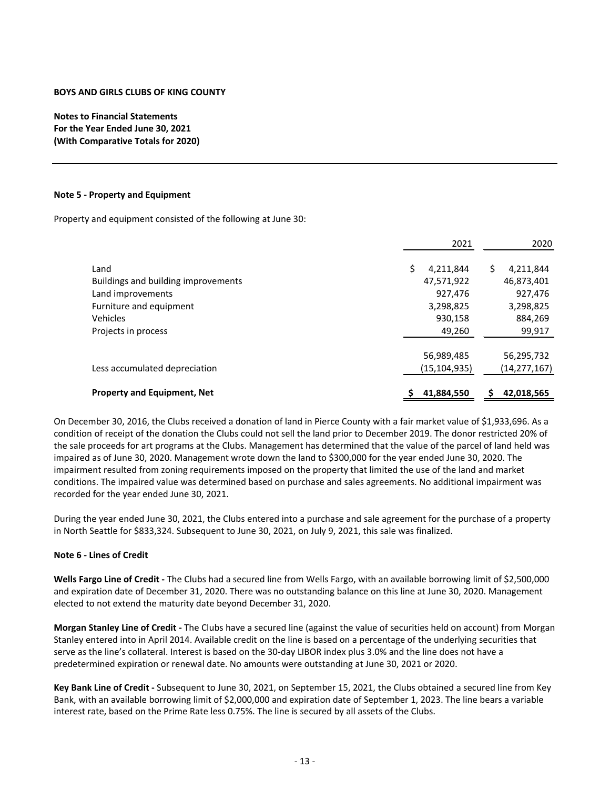**Notes to Financial Statements For the Year Ended June 30, 2021 (With Comparative Totals for 2020)**

#### **Note 5 ‐ Property and Equipment**

Property and equipment consisted of the following at June 30:

|                                     | 2021           | 2020           |
|-------------------------------------|----------------|----------------|
| Land                                | Ś<br>4,211,844 | S<br>4,211,844 |
| Buildings and building improvements | 47,571,922     | 46,873,401     |
| Land improvements                   | 927,476        | 927,476        |
| Furniture and equipment             | 3,298,825      | 3,298,825      |
| Vehicles                            | 930,158        | 884,269        |
| Projects in process                 | 49,260         | 99,917         |
|                                     | 56,989,485     | 56,295,732     |
| Less accumulated depreciation       | (15, 104, 935) | (14,277,167)   |
| <b>Property and Equipment, Net</b>  | 41,884,550     | 42,018,565     |

On December 30, 2016, the Clubs received a donation of land in Pierce County with a fair market value of \$1,933,696. As a condition of receipt of the donation the Clubs could not sell the land prior to December 2019. The donor restricted 20% of the sale proceeds for art programs at the Clubs. Management has determined that the value of the parcel of land held was impaired as of June 30, 2020. Management wrote down the land to \$300,000 for the year ended June 30, 2020. The impairment resulted from zoning requirements imposed on the property that limited the use of the land and market conditions. The impaired value was determined based on purchase and sales agreements. No additional impairment was recorded for the year ended June 30, 2021.

During the year ended June 30, 2021, the Clubs entered into a purchase and sale agreement for the purchase of a property in North Seattle for \$833,324. Subsequent to June 30, 2021, on July 9, 2021, this sale was finalized.

### **Note 6 ‐ Lines of Credit**

**Wells Fargo Line of Credit ‐** The Clubs had a secured line from Wells Fargo, with an available borrowing limit of \$2,500,000 and expiration date of December 31, 2020. There was no outstanding balance on this line at June 30, 2020. Management elected to not extend the maturity date beyond December 31, 2020.

**Morgan Stanley Line of Credit ‐** The Clubs have a secured line (against the value of securities held on account) from Morgan Stanley entered into in April 2014. Available credit on the line is based on a percentage of the underlying securities that serve as the line's collateral. Interest is based on the 30-day LIBOR index plus 3.0% and the line does not have a predetermined expiration or renewal date. No amounts were outstanding at June 30, 2021 or 2020.

**Key Bank Line of Credit ‐** Subsequent to June 30, 2021, on September 15, 2021, the Clubs obtained a secured line from Key Bank, with an available borrowing limit of \$2,000,000 and expiration date of September 1, 2023. The line bears a variable interest rate, based on the Prime Rate less 0.75%. The line is secured by all assets of the Clubs.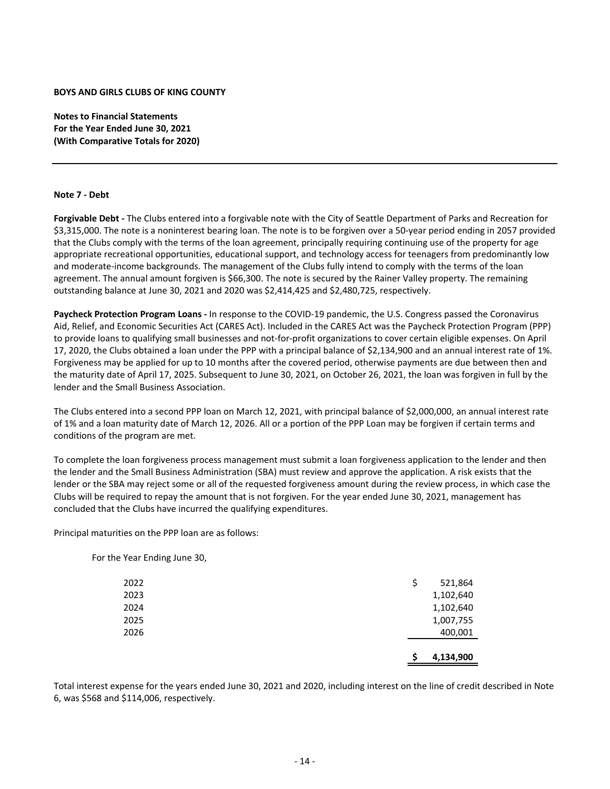**Notes to Financial Statements For the Year Ended June 30, 2021 (With Comparative Totals for 2020)**

#### **Note 7 ‐ Debt**

**Forgivable Debt ‐** The Clubs entered into a forgivable note with the City of Seattle Department of Parks and Recreation for \$3,315,000. The note is a noninterest bearing loan. The note is to be forgiven over a 50‐year period ending in 2057 provided that the Clubs comply with the terms of the loan agreement, principally requiring continuing use of the property for age appropriate recreational opportunities, educational support, and technology access for teenagers from predominantly low and moderate‐income backgrounds. The management of the Clubs fully intend to comply with the terms of the loan agreement. The annual amount forgiven is \$66,300. The note is secured by the Rainer Valley property. The remaining outstanding balance at June 30, 2021 and 2020 was \$2,414,425 and \$2,480,725, respectively.

**Paycheck Protection Program Loans ‐** In response to the COVID‐19 pandemic, the U.S. Congress passed the Coronavirus Aid, Relief, and Economic Securities Act (CARES Act). Included in the CARES Act was the Paycheck Protection Program (PPP) to provide loans to qualifying small businesses and not-for-profit organizations to cover certain eligible expenses. On April 17, 2020, the Clubs obtained a loan under the PPP with a principal balance of \$2,134,900 and an annual interest rate of 1%. Forgiveness may be applied for up to 10 months after the covered period, otherwise payments are due between then and the maturity date of April 17, 2025. Subsequent to June 30, 2021, on October 26, 2021, the loan was forgiven in full by the lender and the Small Business Association.

The Clubs entered into a second PPP loan on March 12, 2021, with principal balance of \$2,000,000, an annual interest rate of 1% and a loan maturity date of March 12, 2026. All or a portion of the PPP Loan may be forgiven if certain terms and conditions of the program are met.

To complete the loan forgiveness process management must submit a loan forgiveness application to the lender and then the lender and the Small Business Administration (SBA) must review and approve the application. A risk exists that the lender or the SBA may reject some or all of the requested forgiveness amount during the review process, in which case the Clubs will be required to repay the amount that is not forgiven. For the year ended June 30, 2021, management has concluded that the Clubs have incurred the qualifying expenditures.

Principal maturities on the PPP loan are as follows:

|                              | 4,134,900     |
|------------------------------|---------------|
| 2026                         | 400,001       |
| 2025                         | 1,007,755     |
| 2024                         | 1,102,640     |
| 2023                         | 1,102,640     |
| 2022                         | \$<br>521,864 |
| For the Year Ending June 30, |               |

Total interest expense for the years ended June 30, 2021 and 2020, including interest on the line of credit described in Note 6, was \$568 and \$114,006, respectively.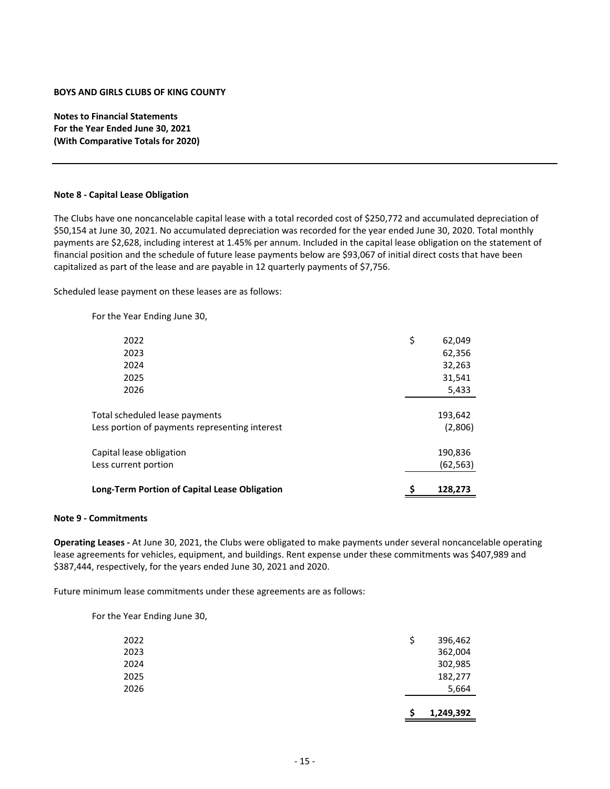**Notes to Financial Statements For the Year Ended June 30, 2021 (With Comparative Totals for 2020)**

#### **Note 8 ‐ Capital Lease Obligation**

The Clubs have one noncancelable capital lease with a total recorded cost of \$250,772 and accumulated depreciation of \$50,154 at June 30, 2021. No accumulated depreciation was recorded for the year ended June 30, 2020. Total monthly payments are \$2,628, including interest at 1.45% per annum. Included in the capital lease obligation on the statement of financial position and the schedule of future lease payments below are \$93,067 of initial direct costs that have been capitalized as part of the lease and are payable in 12 quarterly payments of \$7,756.

Scheduled lease payment on these leases are as follows:

For the Year Ending June 30,

| Long-Term Portion of Capital Lease Obligation  | 128,273      |
|------------------------------------------------|--------------|
| Less current portion                           | (62, 563)    |
| Capital lease obligation                       | 190,836      |
| Less portion of payments representing interest | (2,806)      |
| Total scheduled lease payments                 | 193,642      |
| 2026                                           | 5,433        |
| 2025                                           | 31,541       |
| 2024                                           | 32,263       |
| 2023                                           | 62,356       |
| 2022                                           | \$<br>62,049 |
|                                                |              |

#### **Note 9 ‐ Commitments**

**Operating Leases ‐** At June 30, 2021, the Clubs were obligated to make payments under several noncancelable operating lease agreements for vehicles, equipment, and buildings. Rent expense under these commitments was \$407,989 and \$387,444, respectively, for the years ended June 30, 2021 and 2020.

Future minimum lease commitments under these agreements are as follows:

For the Year Ending June 30,

|      | S  | 1,249,392 |
|------|----|-----------|
| 2026 |    | 5,664     |
| 2025 |    | 182,277   |
| 2024 |    | 302,985   |
| 2023 |    | 362,004   |
| 2022 | \$ | 396,462   |
|      |    |           |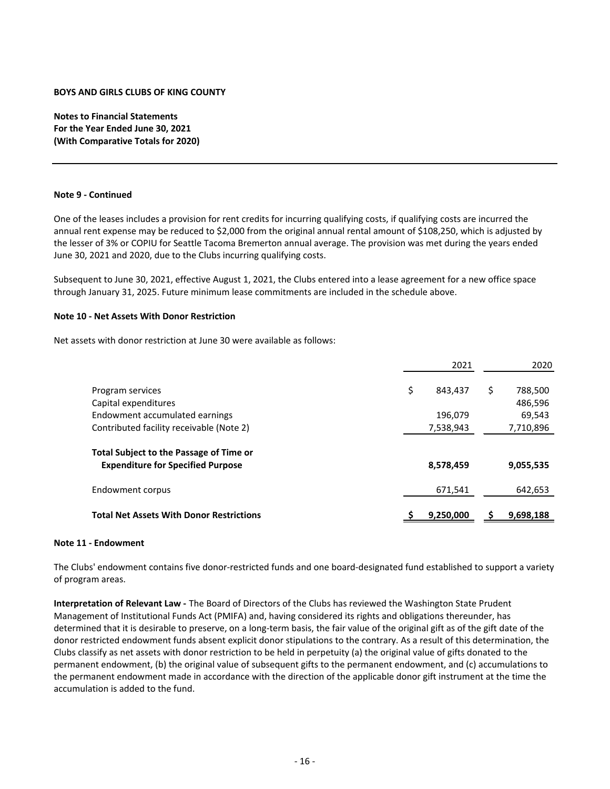**Notes to Financial Statements For the Year Ended June 30, 2021 (With Comparative Totals for 2020)**

#### **Note 9 ‐ Continued**

One of the leases includes a provision for rent credits for incurring qualifying costs, if qualifying costs are incurred the annual rent expense may be reduced to \$2,000 from the original annual rental amount of \$108,250, which is adjusted by the lesser of 3% or COPIU for Seattle Tacoma Bremerton annual average. The provision was met during the years ended June 30, 2021 and 2020, due to the Clubs incurring qualifying costs.

Subsequent to June 30, 2021, effective August 1, 2021, the Clubs entered into a lease agreement for a new office space through January 31, 2025. Future minimum lease commitments are included in the schedule above.

#### **Note 10 ‐ Net Assets With Donor Restriction**

Net assets with donor restriction at June 30 were available as follows:

|                                                                                     | 2021          | 2020          |
|-------------------------------------------------------------------------------------|---------------|---------------|
| Program services                                                                    | \$<br>843,437 | \$<br>788,500 |
| Capital expenditures                                                                |               | 486,596       |
| Endowment accumulated earnings                                                      | 196,079       | 69,543        |
| Contributed facility receivable (Note 2)                                            | 7,538,943     | 7,710,896     |
| Total Subject to the Passage of Time or<br><b>Expenditure for Specified Purpose</b> | 8,578,459     | 9,055,535     |
| Endowment corpus                                                                    | 671,541       | 642,653       |
| <b>Total Net Assets With Donor Restrictions</b>                                     | 9,250,000     | 9,698,188     |

# **Note 11 ‐ Endowment**

The Clubs' endowment contains five donor‐restricted funds and one board‐designated fund established to support a variety of program areas.

**Interpretation of Relevant Law ‐** The Board of Directors of the Clubs has reviewed the Washington State Prudent Management of Institutional Funds Act (PMIFA) and, having considered its rights and obligations thereunder, has determined that it is desirable to preserve, on a long‐term basis, the fair value of the original gift as of the gift date of the donor restricted endowment funds absent explicit donor stipulations to the contrary. As a result of this determination, the Clubs classify as net assets with donor restriction to be held in perpetuity (a) the original value of gifts donated to the permanent endowment, (b) the original value of subsequent gifts to the permanent endowment, and (c) accumulations to the permanent endowment made in accordance with the direction of the applicable donor gift instrument at the time the accumulation is added to the fund.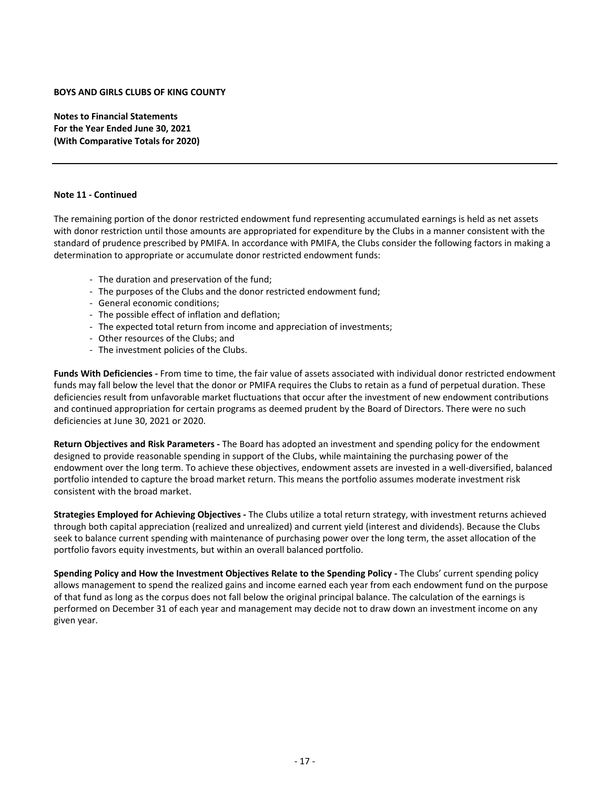**Notes to Financial Statements For the Year Ended June 30, 2021 (With Comparative Totals for 2020)**

#### **Note 11 ‐ Continued**

The remaining portion of the donor restricted endowment fund representing accumulated earnings is held as net assets with donor restriction until those amounts are appropriated for expenditure by the Clubs in a manner consistent with the standard of prudence prescribed by PMIFA. In accordance with PMIFA, the Clubs consider the following factors in making a determination to appropriate or accumulate donor restricted endowment funds:

- ‐ The duration and preservation of the fund;
- ‐ The purposes of the Clubs and the donor restricted endowment fund;
- ‐ General economic conditions;
- ‐ The possible effect of inflation and deflation;
- ‐ The expected total return from income and appreciation of investments;
- ‐ Other resources of the Clubs; and
- ‐ The investment policies of the Clubs.

**Funds With Deficiencies ‐** From time to time, the fair value of assets associated with individual donor restricted endowment funds may fall below the level that the donor or PMIFA requires the Clubs to retain as a fund of perpetual duration. These deficiencies result from unfavorable market fluctuations that occur after the investment of new endowment contributions and continued appropriation for certain programs as deemed prudent by the Board of Directors. There were no such deficiencies at June 30, 2021 or 2020.

**Return Objectives and Risk Parameters ‐** The Board has adopted an investment and spending policy for the endowment designed to provide reasonable spending in support of the Clubs, while maintaining the purchasing power of the endowment over the long term. To achieve these objectives, endowment assets are invested in a well‐diversified, balanced portfolio intended to capture the broad market return. This means the portfolio assumes moderate investment risk consistent with the broad market.

**Strategies Employed for Achieving Objectives ‐** The Clubs utilize a total return strategy, with investment returns achieved through both capital appreciation (realized and unrealized) and current yield (interest and dividends). Because the Clubs seek to balance current spending with maintenance of purchasing power over the long term, the asset allocation of the portfolio favors equity investments, but within an overall balanced portfolio.

**Spending Policy and How the Investment Objectives Relate to the Spending Policy ‐** The Clubs' current spending policy allows management to spend the realized gains and income earned each year from each endowment fund on the purpose of that fund as long as the corpus does not fall below the original principal balance. The calculation of the earnings is performed on December 31 of each year and management may decide not to draw down an investment income on any given year.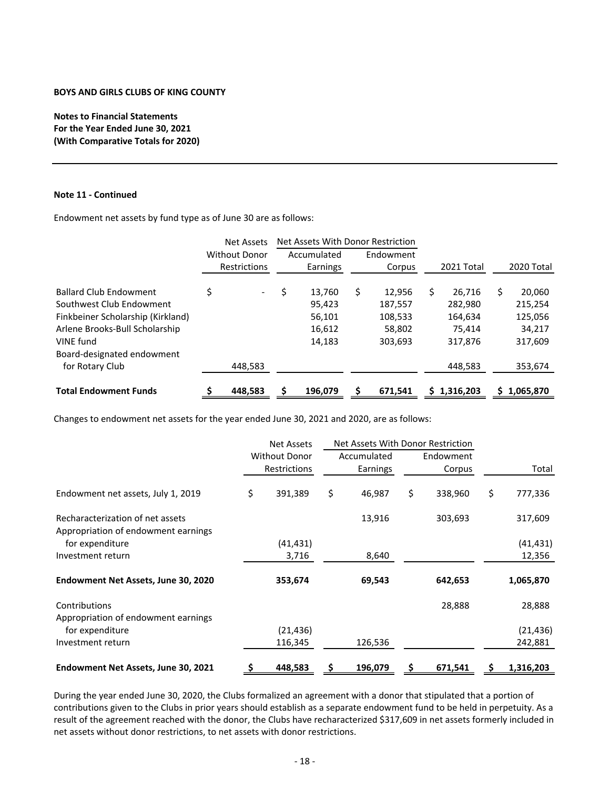**Notes to Financial Statements For the Year Ended June 30, 2021 (With Comparative Totals for 2020)**

#### **Note 11 ‐ Continued**

Endowment net assets by fund type as of June 30 are as follows:

|                                   | <b>Net Assets</b>        | Net Assets With Donor Restriction |             |   |           |    |            |              |
|-----------------------------------|--------------------------|-----------------------------------|-------------|---|-----------|----|------------|--------------|
|                                   | <b>Without Donor</b>     |                                   | Accumulated |   | Endowment |    |            |              |
|                                   | Restrictions             |                                   | Earnings    |   | Corpus    |    | 2021 Total | 2020 Total   |
| <b>Ballard Club Endowment</b>     | $\overline{\phantom{0}}$ | \$                                | 13,760      | S | 12,956    | \$ | 26,716     | \$<br>20,060 |
| Southwest Club Endowment          |                          |                                   | 95,423      |   | 187,557   |    | 282,980    | 215,254      |
| Finkbeiner Scholarship (Kirkland) |                          |                                   | 56,101      |   | 108,533   |    | 164,634    | 125,056      |
| Arlene Brooks-Bull Scholarship    |                          |                                   | 16,612      |   | 58,802    |    | 75.414     | 34,217       |
| VINE fund                         |                          |                                   | 14,183      |   | 303,693   |    | 317,876    | 317,609      |
| Board-designated endowment        |                          |                                   |             |   |           |    |            |              |
| for Rotary Club                   | 448,583                  |                                   |             |   |           |    | 448,583    | 353,674      |
| <b>Total Endowment Funds</b>      | 448,583                  |                                   | 196,079     |   | 671,541   |    | 1,316,203  | 1,065,870    |
|                                   |                          |                                   |             |   |           |    |            |              |

Changes to endowment net assets for the year ended June 30, 2021 and 2020, are as follows:

|                                                                         |                                      | <b>Net Assets</b> | Net Assets With Donor Restriction |                     |       |           |  |
|-------------------------------------------------------------------------|--------------------------------------|-------------------|-----------------------------------|---------------------|-------|-----------|--|
|                                                                         | <b>Without Donor</b><br>Restrictions |                   | Accumulated<br>Earnings           | Endowment<br>Corpus | Total |           |  |
|                                                                         |                                      |                   |                                   |                     |       |           |  |
| Endowment net assets, July 1, 2019                                      | \$                                   | 391,389           | \$<br>46,987                      | \$<br>338,960       | \$    | 777,336   |  |
| Recharacterization of net assets<br>Appropriation of endowment earnings |                                      |                   | 13,916                            | 303,693             |       | 317,609   |  |
| for expenditure                                                         |                                      | (41, 431)         |                                   |                     |       | (41, 431) |  |
| Investment return                                                       |                                      | 3,716             | 8,640                             |                     |       | 12,356    |  |
| Endowment Net Assets, June 30, 2020                                     |                                      | 353,674           | 69,543                            | 642,653             |       | 1,065,870 |  |
| Contributions                                                           |                                      |                   |                                   | 28,888              |       | 28,888    |  |
| Appropriation of endowment earnings                                     |                                      |                   |                                   |                     |       |           |  |
| for expenditure                                                         |                                      | (21, 436)         |                                   |                     |       | (21, 436) |  |
| Investment return                                                       |                                      | 116,345           | 126,536                           |                     |       | 242,881   |  |
| Endowment Net Assets, June 30, 2021                                     |                                      | 448,583           | 196,079                           | 671,541             |       | 1,316,203 |  |

During the year ended June 30, 2020, the Clubs formalized an agreement with a donor that stipulated that a portion of contributions given to the Clubs in prior years should establish as a separate endowment fund to be held in perpetuity. As a result of the agreement reached with the donor, the Clubs have recharacterized \$317,609 in net assets formerly included in net assets without donor restrictions, to net assets with donor restrictions.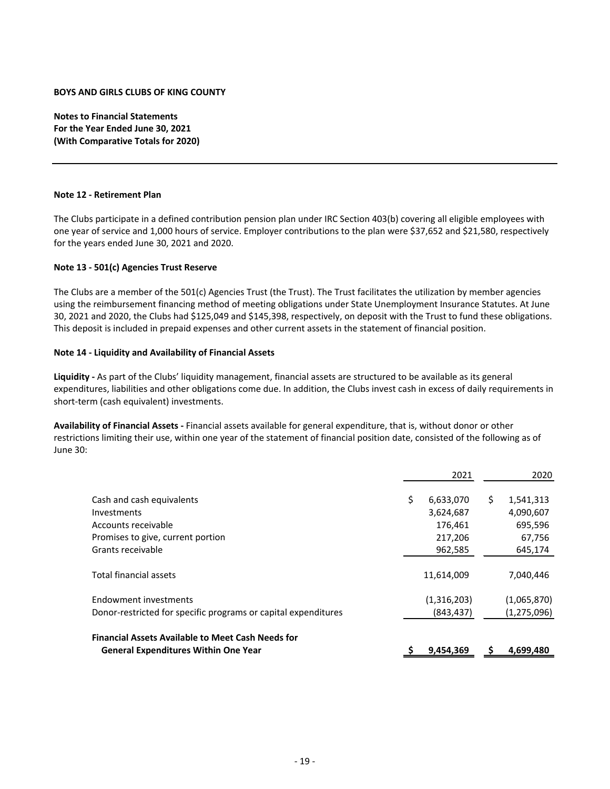**Notes to Financial Statements For the Year Ended June 30, 2021 (With Comparative Totals for 2020)**

#### **Note 12 ‐ Retirement Plan**

The Clubs participate in a defined contribution pension plan under IRC Section 403(b) covering all eligible employees with one year of service and 1,000 hours of service. Employer contributions to the plan were \$37,652 and \$21,580, respectively for the years ended June 30, 2021 and 2020.

### **Note 13 ‐ 501(c) Agencies Trust Reserve**

The Clubs are a member of the 501(c) Agencies Trust (the Trust). The Trust facilitates the utilization by member agencies using the reimbursement financing method of meeting obligations under State Unemployment Insurance Statutes. At June 30, 2021 and 2020, the Clubs had \$125,049 and \$145,398, respectively, on deposit with the Trust to fund these obligations. This deposit is included in prepaid expenses and other current assets in the statement of financial position.

#### **Note 14 ‐ Liquidity and Availability of Financial Assets**

**Liquidity ‐** As part of the Clubs' liquidity management, financial assets are structured to be available as its general expenditures, liabilities and other obligations come due. In addition, the Clubs invest cash in excess of daily requirements in short-term (cash equivalent) investments.

**Availability of Financial Assets ‐** Financial assets available for general expenditure, that is, without donor or other restrictions limiting their use, within one year of the statement of financial position date, consisted of the following as of June 30:

| 2021            |             | 2020        |
|-----------------|-------------|-------------|
| \$<br>6,633,070 | \$          | 1,541,313   |
| 3,624,687       |             | 4,090,607   |
| 176,461         |             | 695,596     |
| 217,206         |             | 67,756      |
| 962,585         |             | 645,174     |
| 11,614,009      |             | 7,040,446   |
|                 |             | (1,065,870) |
| (843, 437)      |             | (1,275,096) |
| 9,454,369       |             | 4,699,480   |
|                 | (1,316,203) |             |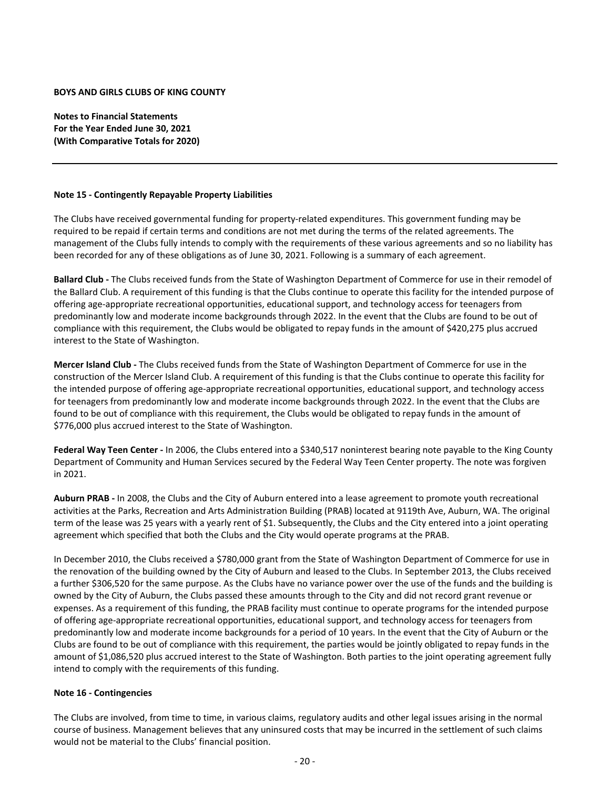**Notes to Financial Statements For the Year Ended June 30, 2021 (With Comparative Totals for 2020)**

### **Note 15 ‐ Contingently Repayable Property Liabilities**

The Clubs have received governmental funding for property-related expenditures. This government funding may be required to be repaid if certain terms and conditions are not met during the terms of the related agreements. The management of the Clubs fully intends to comply with the requirements of these various agreements and so no liability has been recorded for any of these obligations as of June 30, 2021. Following is a summary of each agreement.

**Ballard Club ‐** The Clubs received funds from the State of Washington Department of Commerce for use in their remodel of the Ballard Club. A requirement of this funding is that the Clubs continue to operate this facility for the intended purpose of offering age‐appropriate recreational opportunities, educational support, and technology access for teenagers from predominantly low and moderate income backgrounds through 2022. In the event that the Clubs are found to be out of compliance with this requirement, the Clubs would be obligated to repay funds in the amount of \$420,275 plus accrued interest to the State of Washington.

**Mercer Island Club ‐** The Clubs received funds from the State of Washington Department of Commerce for use in the construction of the Mercer Island Club. A requirement of this funding is that the Clubs continue to operate this facility for the intended purpose of offering age‐appropriate recreational opportunities, educational support, and technology access for teenagers from predominantly low and moderate income backgrounds through 2022. In the event that the Clubs are found to be out of compliance with this requirement, the Clubs would be obligated to repay funds in the amount of \$776,000 plus accrued interest to the State of Washington.

**Federal Way Teen Center ‐** In 2006, the Clubs entered into a \$340,517 noninterest bearing note payable to the King County Department of Community and Human Services secured by the Federal Way Teen Center property. The note was forgiven in 2021.

**Auburn PRAB ‐** In 2008, the Clubs and the City of Auburn entered into a lease agreement to promote youth recreational activities at the Parks, Recreation and Arts Administration Building (PRAB) located at 9119th Ave, Auburn, WA. The original term of the lease was 25 years with a yearly rent of \$1. Subsequently, the Clubs and the City entered into a joint operating agreement which specified that both the Clubs and the City would operate programs at the PRAB.

In December 2010, the Clubs received a \$780,000 grant from the State of Washington Department of Commerce for use in the renovation of the building owned by the City of Auburn and leased to the Clubs. In September 2013, the Clubs received a further \$306,520 for the same purpose. As the Clubs have no variance power over the use of the funds and the building is owned by the City of Auburn, the Clubs passed these amounts through to the City and did not record grant revenue or expenses. As a requirement of this funding, the PRAB facility must continue to operate programs for the intended purpose of offering age‐appropriate recreational opportunities, educational support, and technology access for teenagers from predominantly low and moderate income backgrounds for a period of 10 years. In the event that the City of Auburn or the Clubs are found to be out of compliance with this requirement, the parties would be jointly obligated to repay funds in the amount of \$1,086,520 plus accrued interest to the State of Washington. Both parties to the joint operating agreement fully intend to comply with the requirements of this funding.

### **Note 16 ‐ Contingencies**

The Clubs are involved, from time to time, in various claims, regulatory audits and other legal issues arising in the normal course of business. Management believes that any uninsured costs that may be incurred in the settlement of such claims would not be material to the Clubs' financial position.